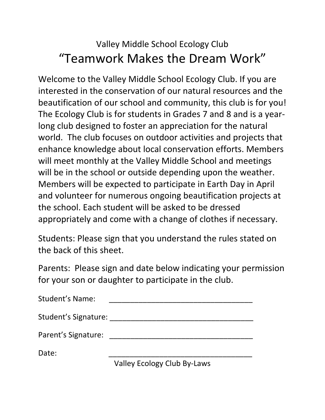## Valley Middle School Ecology Club "Teamwork Makes the Dream Work"

Welcome to the Valley Middle School Ecology Club. If you are interested in the conservation of our natural resources and the beautification of our school and community, this club is for you! The Ecology Club is for students in Grades 7 and 8 and is a yearlong club designed to foster an appreciation for the natural world. The club focuses on outdoor activities and projects that enhance knowledge about local conservation efforts. Members will meet monthly at the Valley Middle School and meetings will be in the school or outside depending upon the weather. Members will be expected to participate in Earth Day in April and volunteer for numerous ongoing beautification projects at the school. Each student will be asked to be dressed appropriately and come with a change of clothes if necessary.

Students: Please sign that you understand the rules stated on the back of this sheet.

Parents: Please sign and date below indicating your permission for your son or daughter to participate in the club.

| <b>Student's Name:</b> |  |  |  |
|------------------------|--|--|--|
|                        |  |  |  |
| Student's Signature:   |  |  |  |

Parent's Signature: **Example 2018** 

Date: \_\_\_\_\_\_\_\_\_\_\_\_\_\_\_\_\_\_\_\_\_\_\_\_\_\_\_\_\_\_\_\_\_\_

Valley Ecology Club By-Laws